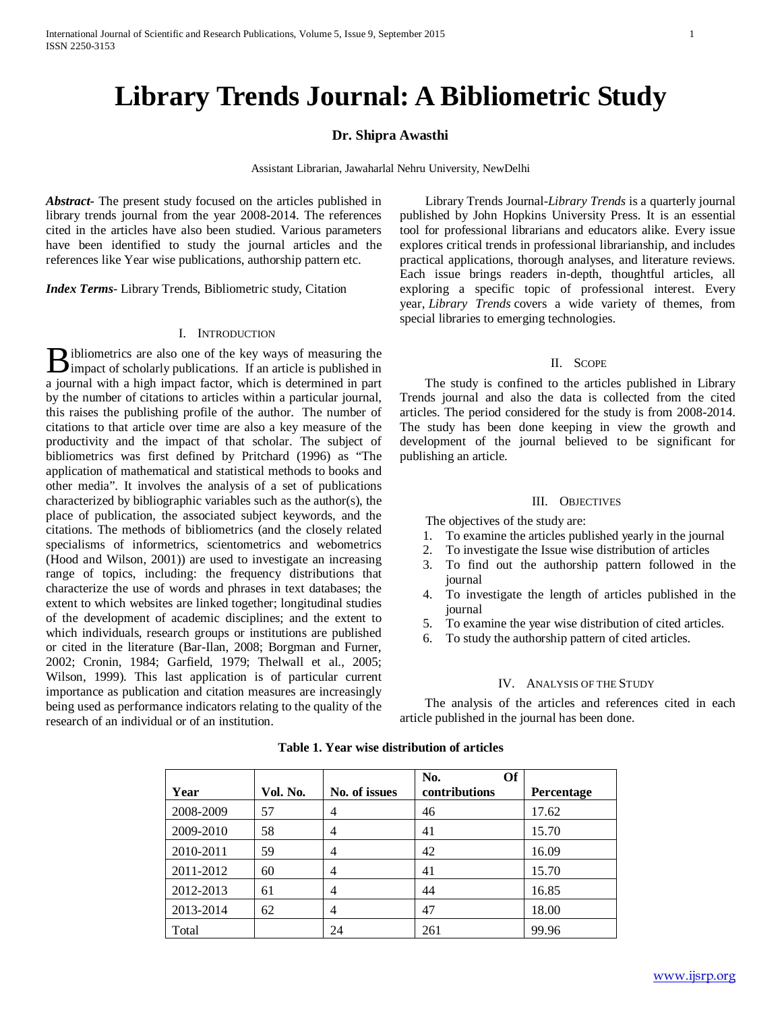# **Library Trends Journal: A Bibliometric Study**

## **Dr. Shipra Awasthi**

Assistant Librarian, Jawaharlal Nehru University, NewDelhi

*Abstract***-** The present study focused on the articles published in library trends journal from the year 2008-2014. The references cited in the articles have also been studied. Various parameters have been identified to study the journal articles and the references like Year wise publications, authorship pattern etc.

*Index Terms*- Library Trends, Bibliometric study, Citation

## I. INTRODUCTION

ibliometrics are also one of the key ways of measuring the **B** ibliometrics are also one of the key ways of measuring the impact of scholarly publications. If an article is published in a journal with a high impact factor, which is determined in part by the number of citations to articles within a particular journal, this raises the publishing profile of the author. The number of citations to that article over time are also a key measure of the productivity and the impact of that scholar. The subject of bibliometrics was first defined by Pritchard (1996) as "The application of mathematical and statistical methods to books and other media". It involves the analysis of a set of publications characterized by bibliographic variables such as the author(s), the place of publication, the associated subject keywords, and the citations. The methods of bibliometrics (and the closely related specialisms of informetrics, scientometrics and webometrics (Hood and Wilson, 2001)) are used to investigate an increasing range of topics, including: the frequency distributions that characterize the use of words and phrases in text databases; the extent to which websites are linked together; longitudinal studies of the development of academic disciplines; and the extent to which individuals, research groups or institutions are published or cited in the literature (Bar-Ilan, 2008; Borgman and Furner, 2002; Cronin, 1984; Garfield, 1979; Thelwall et al., 2005; Wilson, 1999). This last application is of particular current importance as publication and citation measures are increasingly being used as performance indicators relating to the quality of the research of an individual or of an institution.

 Library Trends Journal-*Library Trends* is a quarterly journal published by John Hopkins University Press. It is an essential tool for professional librarians and educators alike. Every issue explores critical trends in professional librarianship, and includes practical applications, thorough analyses, and literature reviews. Each issue brings readers in-depth, thoughtful articles, all exploring a specific topic of professional interest. Every year, *Library Trends* covers a wide variety of themes, from special libraries to emerging technologies.

# II. SCOPE

 The study is confined to the articles published in Library Trends journal and also the data is collected from the cited articles. The period considered for the study is from 2008-2014. The study has been done keeping in view the growth and development of the journal believed to be significant for publishing an article.

## III. OBJECTIVES

The objectives of the study are:

- 1. To examine the articles published yearly in the journal
- 2. To investigate the Issue wise distribution of articles
- 3. To find out the authorship pattern followed in the journal
- 4. To investigate the length of articles published in the journal
- 5. To examine the year wise distribution of cited articles.
- 6. To study the authorship pattern of cited articles.

## IV. ANALYSIS OF THE STUDY

 The analysis of the articles and references cited in each article published in the journal has been done.

| Year      | Vol. No. | No. of issues | <b>Of</b><br>No.<br>contributions | Percentage |
|-----------|----------|---------------|-----------------------------------|------------|
| 2008-2009 | 57       | 4             | 46                                | 17.62      |
| 2009-2010 | 58       | 4             | 41                                | 15.70      |
| 2010-2011 | 59       | 4             | 42                                | 16.09      |
| 2011-2012 | 60       | 4             | 41                                | 15.70      |
| 2012-2013 | 61       | 4             | 44                                | 16.85      |
| 2013-2014 | 62       | 4             | 47                                | 18.00      |
| Total     |          | 24            | 261                               | 99.96      |

#### **Table 1. Year wise distribution of articles**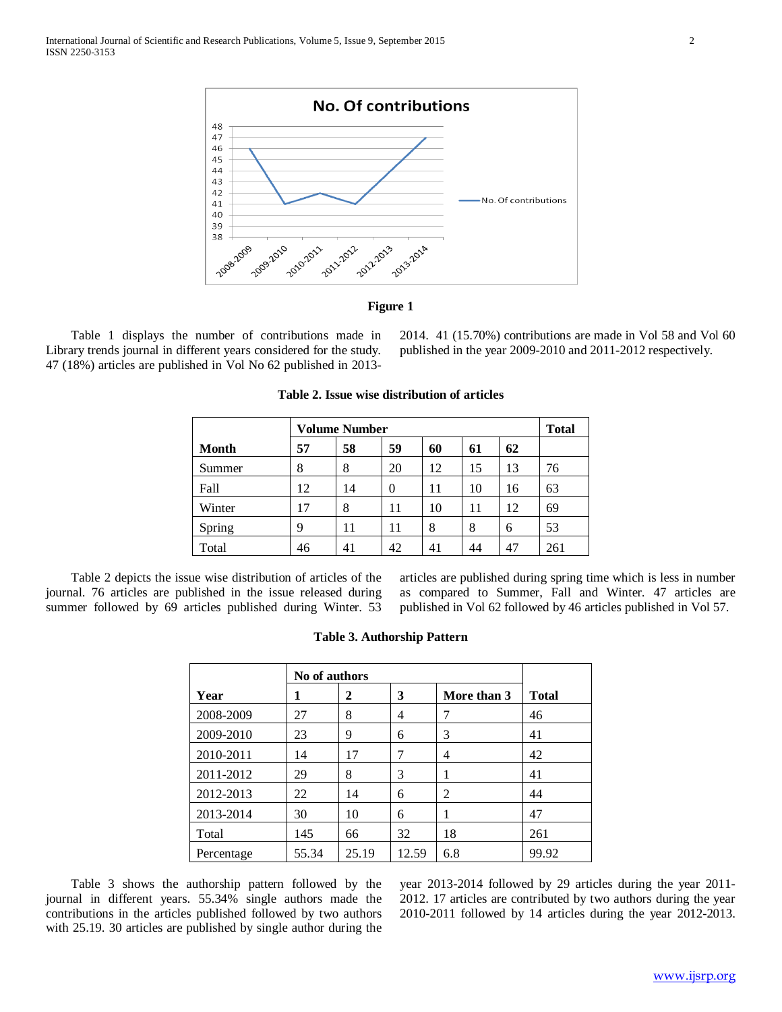



 Table 1 displays the number of contributions made in Library trends journal in different years considered for the study. 47 (18%) articles are published in Vol No 62 published in 20132014. 41 (15.70%) contributions are made in Vol 58 and Vol 60 published in the year 2009-2010 and 2011-2012 respectively.

|              | <b>Volume Number</b> |    |          |    |    |    |     |
|--------------|----------------------|----|----------|----|----|----|-----|
| <b>Month</b> | 57                   | 58 | 59       | 60 | 61 | 62 |     |
| Summer       | 8                    | 8  | 20       | 12 | 15 | 13 | 76  |
| Fall         | 12                   | 14 | $\Omega$ | 11 | 10 | 16 | 63  |
| Winter       | 17                   | 8  | 11       | 10 | 11 | 12 | 69  |
| Spring       | 9                    | 11 | 11       | 8  | 8  | 6  | 53  |
| Total        | 46                   | 41 | 42       | 41 | 44 | 47 | 261 |

**Table 2. Issue wise distribution of articles**

 Table 2 depicts the issue wise distribution of articles of the journal. 76 articles are published in the issue released during summer followed by 69 articles published during Winter. 53

articles are published during spring time which is less in number as compared to Summer, Fall and Winter. 47 articles are published in Vol 62 followed by 46 articles published in Vol 57.

|  | <b>Table 3. Authorship Pattern</b> |  |
|--|------------------------------------|--|
|--|------------------------------------|--|

|            | No of authors |       |       |                |              |
|------------|---------------|-------|-------|----------------|--------------|
| Year       | 1             | 2     | 3     | More than 3    | <b>Total</b> |
| 2008-2009  | 27            | 8     | 4     |                | 46           |
| 2009-2010  | 23            | 9     | 6     | 3              | 41           |
| 2010-2011  | 14            | 17    |       | 4              | 42           |
| 2011-2012  | 29            | 8     | 3     |                | 41           |
| 2012-2013  | 22            | 14    | 6     | $\overline{2}$ | 44           |
| 2013-2014  | 30            | 10    | 6     |                | 47           |
| Total      | 145           | 66    | 32    | 18             | 261          |
| Percentage | 55.34         | 25.19 | 12.59 | 6.8            | 99.92        |

 Table 3 shows the authorship pattern followed by the journal in different years. 55.34% single authors made the contributions in the articles published followed by two authors with 25.19. 30 articles are published by single author during the

year 2013-2014 followed by 29 articles during the year 2011- 2012. 17 articles are contributed by two authors during the year 2010-2011 followed by 14 articles during the year 2012-2013.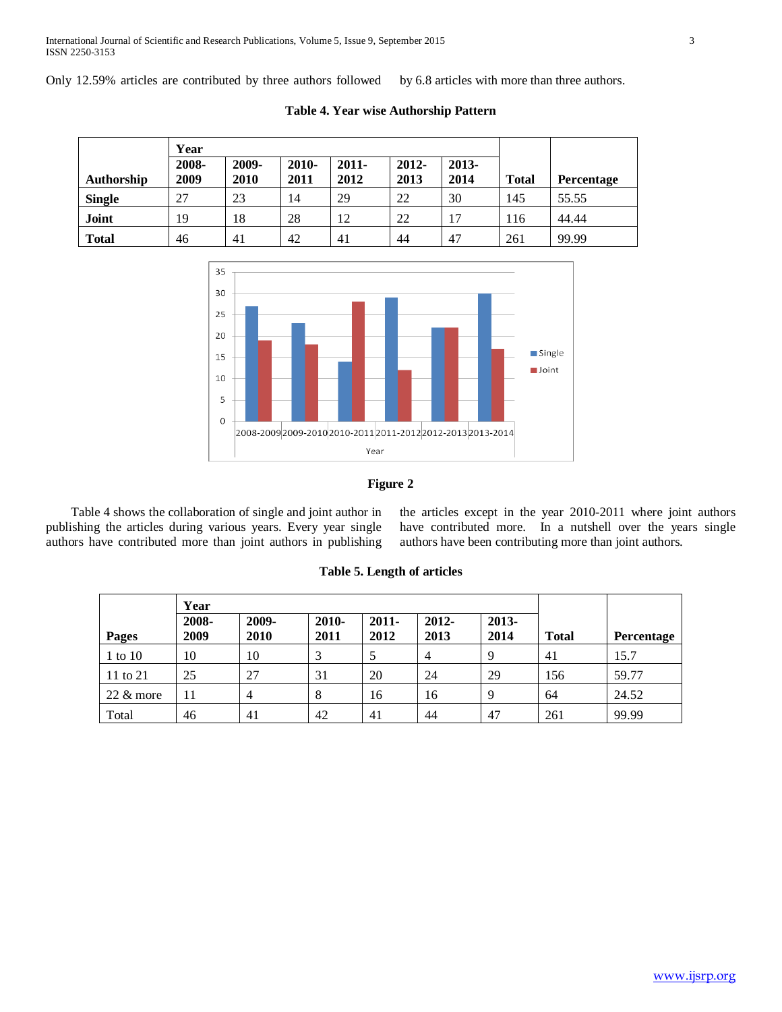Only 12.59% articles are contributed by three authors followed by 6.8 articles with more than three authors.

|               | Year          |               |               |                  |               |               |              |            |
|---------------|---------------|---------------|---------------|------------------|---------------|---------------|--------------|------------|
| Authorship    | 2008-<br>2009 | 2009-<br>2010 | 2010-<br>2011 | $2011 -$<br>2012 | 2012-<br>2013 | 2013-<br>2014 | <b>Total</b> | Percentage |
| <b>Single</b> | 27            | 23            | 14            | 29               | 22            | 30            | 145          | 55.55      |
| Joint         | 19            | 18            | 28            | 12               | 22            | 17            | 116          | 44.44      |
| <b>Total</b>  | 46            | 41            | 42            | 41               | 44            | 47            | 261          | 99.99      |

**Table 4. Year wise Authorship Pattern**



## **Figure 2**

 Table 4 shows the collaboration of single and joint author in publishing the articles during various years. Every year single authors have contributed more than joint authors in publishing

the articles except in the year 2010-2011 where joint authors have contributed more. In a nutshell over the years single authors have been contributing more than joint authors.

|  |  |  |  | Table 5. Length of articles |
|--|--|--|--|-----------------------------|
|--|--|--|--|-----------------------------|

|              | Year          |                      |               |                  |               |               |              |                   |
|--------------|---------------|----------------------|---------------|------------------|---------------|---------------|--------------|-------------------|
| Pages        | 2008-<br>2009 | 2009-<br><b>2010</b> | 2010-<br>2011 | $2011 -$<br>2012 | 2012-<br>2013 | 2013-<br>2014 | <b>Total</b> | <b>Percentage</b> |
| 1 to 10      | 10            | 10                   | 3             | 5                | 4             | 9             | 41           | 15.7              |
| 11 to 21     | 25            | 27                   | 31            | 20               | 24            | 29            | 156          | 59.77             |
| $22 \&$ more | 11            | 4                    | 8             | 16               | 16            | 9             | 64           | 24.52             |
| Total        | 46            | 41                   | 42            | 41               | 44            | 47            | 261          | 99.99             |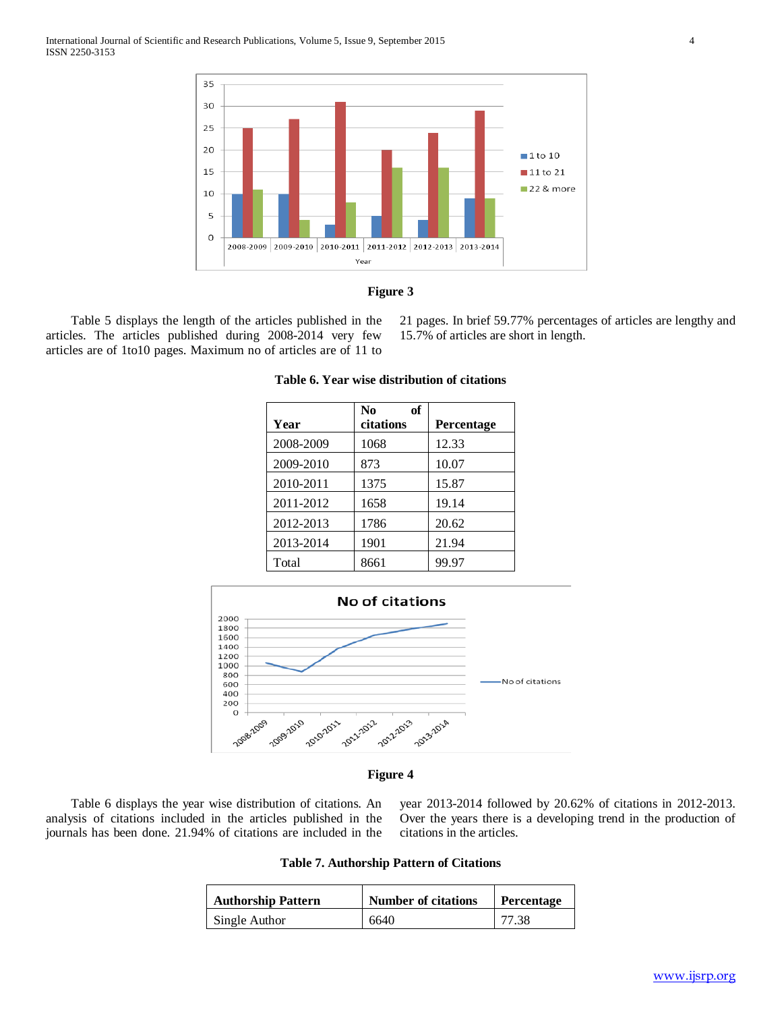



 Table 5 displays the length of the articles published in the articles. The articles published during 2008-2014 very few articles are of 1to10 pages. Maximum no of articles are of 11 to 21 pages. In brief 59.77% percentages of articles are lengthy and 15.7% of articles are short in length.

| Year      | N <sub>0</sub><br>of<br>citations | Percentage |
|-----------|-----------------------------------|------------|
| 2008-2009 | 1068                              | 12.33      |
|           |                                   |            |
| 2009-2010 | 873                               | 10.07      |
| 2010-2011 | 1375                              | 15.87      |
| 2011-2012 | 1658                              | 19.14      |
| 2012-2013 | 1786                              | 20.62      |
| 2013-2014 | 1901                              | 21.94      |
| Total     | 8661                              | 99.97      |

**Table 6. Year wise distribution of citations**





 Table 6 displays the year wise distribution of citations. An analysis of citations included in the articles published in the journals has been done. 21.94% of citations are included in the year 2013-2014 followed by 20.62% of citations in 2012-2013. Over the years there is a developing trend in the production of citations in the articles.

**Table 7. Authorship Pattern of Citations**

| <b>Authorship Pattern</b> | <b>Number of citations</b> | <b>Percentage</b> |
|---------------------------|----------------------------|-------------------|
| Single Author             | 6640                       | 77.38             |